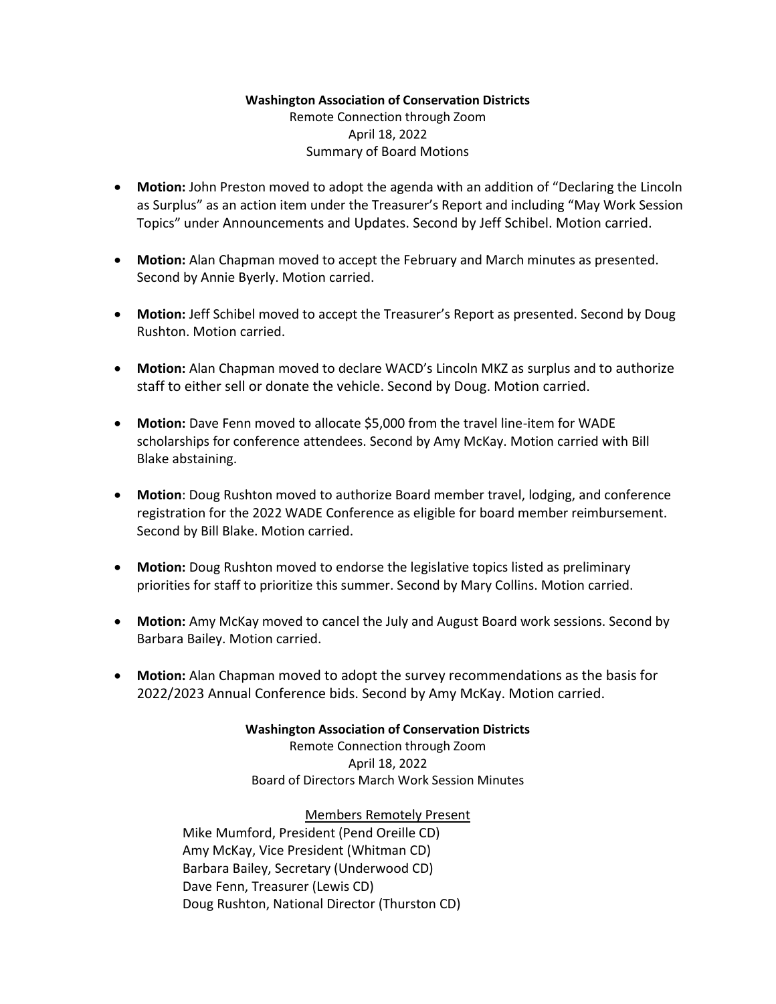## **Washington Association of Conservation Districts** Remote Connection through Zoom

#### April 18, 2022 Summary of Board Motions

- **Motion:** John Preston moved to adopt the agenda with an addition of "Declaring the Lincoln as Surplus" as an action item under the Treasurer's Report and including "May Work Session Topics" under Announcements and Updates. Second by Jeff Schibel. Motion carried.
- **Motion:** Alan Chapman moved to accept the February and March minutes as presented. Second by Annie Byerly. Motion carried.
- **Motion:** Jeff Schibel moved to accept the Treasurer's Report as presented. Second by Doug Rushton. Motion carried.
- **Motion:** Alan Chapman moved to declare WACD's Lincoln MKZ as surplus and to authorize staff to either sell or donate the vehicle. Second by Doug. Motion carried.
- **Motion:** Dave Fenn moved to allocate \$5,000 from the travel line-item for WADE scholarships for conference attendees. Second by Amy McKay. Motion carried with Bill Blake abstaining.
- **Motion**: Doug Rushton moved to authorize Board member travel, lodging, and conference registration for the 2022 WADE Conference as eligible for board member reimbursement. Second by Bill Blake. Motion carried.
- **Motion:** Doug Rushton moved to endorse the legislative topics listed as preliminary priorities for staff to prioritize this summer. Second by Mary Collins. Motion carried.
- **Motion:** Amy McKay moved to cancel the July and August Board work sessions. Second by Barbara Bailey. Motion carried.
- **Motion:** Alan Chapman moved to adopt the survey recommendations as the basis for 2022/2023 Annual Conference bids. Second by Amy McKay. Motion carried.

## **Washington Association of Conservation Districts**

Remote Connection through Zoom April 18, 2022 Board of Directors March Work Session Minutes

# Members Remotely Present

Mike Mumford, President (Pend Oreille CD) Amy McKay, Vice President (Whitman CD) Barbara Bailey, Secretary (Underwood CD) Dave Fenn, Treasurer (Lewis CD) Doug Rushton, National Director (Thurston CD)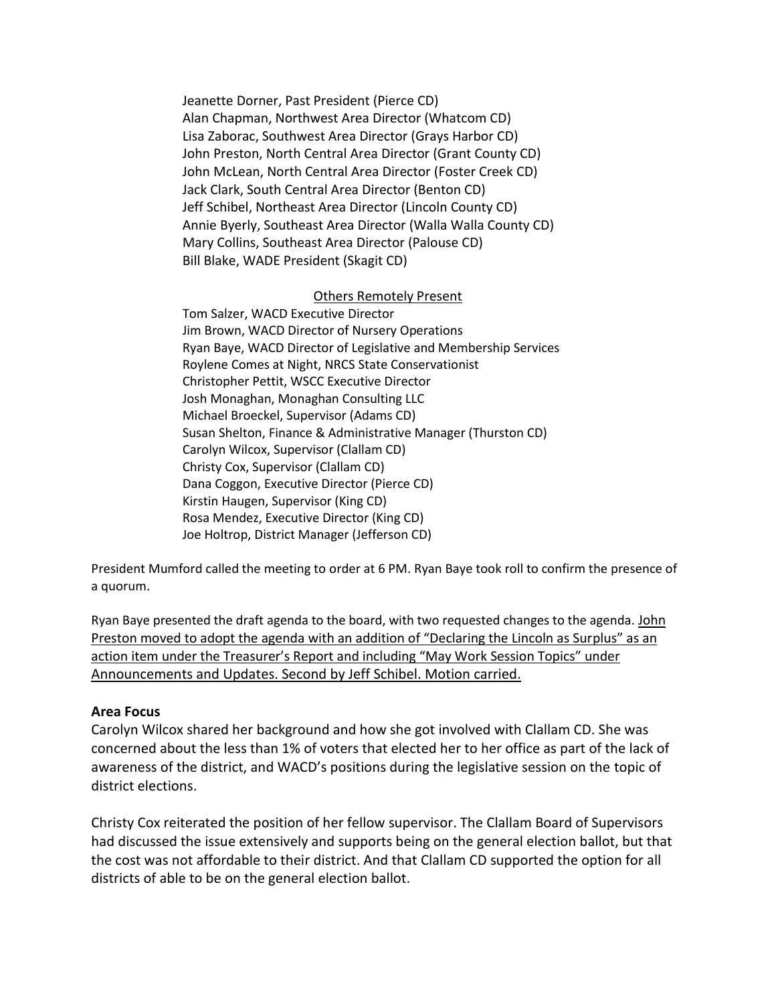Jeanette Dorner, Past President (Pierce CD) Alan Chapman, Northwest Area Director (Whatcom CD) Lisa Zaborac, Southwest Area Director (Grays Harbor CD) John Preston, North Central Area Director (Grant County CD) John McLean, North Central Area Director (Foster Creek CD) Jack Clark, South Central Area Director (Benton CD) Jeff Schibel, Northeast Area Director (Lincoln County CD) Annie Byerly, Southeast Area Director (Walla Walla County CD) Mary Collins, Southeast Area Director (Palouse CD) Bill Blake, WADE President (Skagit CD)

#### Others Remotely Present

Tom Salzer, WACD Executive Director Jim Brown, WACD Director of Nursery Operations Ryan Baye, WACD Director of Legislative and Membership Services Roylene Comes at Night, NRCS State Conservationist Christopher Pettit, WSCC Executive Director Josh Monaghan, Monaghan Consulting LLC Michael Broeckel, Supervisor (Adams CD) Susan Shelton, Finance & Administrative Manager (Thurston CD) Carolyn Wilcox, Supervisor (Clallam CD) Christy Cox, Supervisor (Clallam CD) Dana Coggon, Executive Director (Pierce CD) Kirstin Haugen, Supervisor (King CD) Rosa Mendez, Executive Director (King CD) Joe Holtrop, District Manager (Jefferson CD)

President Mumford called the meeting to order at 6 PM. Ryan Baye took roll to confirm the presence of a quorum.

Ryan Baye presented the draft agenda to the board, with two requested changes to the agenda. John Preston moved to adopt the agenda with an addition of "Declaring the Lincoln as Surplus" as an action item under the Treasurer's Report and including "May Work Session Topics" under Announcements and Updates. Second by Jeff Schibel. Motion carried.

#### **Area Focus**

Carolyn Wilcox shared her background and how she got involved with Clallam CD. She was concerned about the less than 1% of voters that elected her to her office as part of the lack of awareness of the district, and WACD's positions during the legislative session on the topic of district elections.

Christy Cox reiterated the position of her fellow supervisor. The Clallam Board of Supervisors had discussed the issue extensively and supports being on the general election ballot, but that the cost was not affordable to their district. And that Clallam CD supported the option for all districts of able to be on the general election ballot.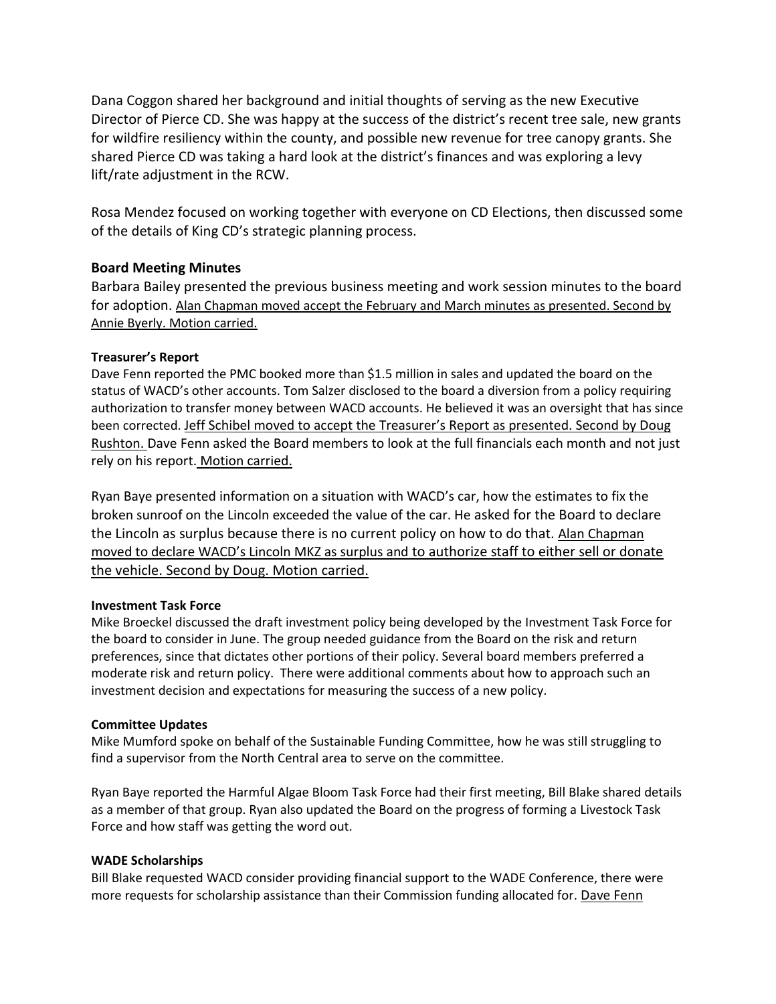Dana Coggon shared her background and initial thoughts of serving as the new Executive Director of Pierce CD. She was happy at the success of the district's recent tree sale, new grants for wildfire resiliency within the county, and possible new revenue for tree canopy grants. She shared Pierce CD was taking a hard look at the district's finances and was exploring a levy lift/rate adjustment in the RCW.

Rosa Mendez focused on working together with everyone on CD Elections, then discussed some of the details of King CD's strategic planning process.

## **Board Meeting Minutes**

Barbara Bailey presented the previous business meeting and work session minutes to the board for adoption. Alan Chapman moved accept the February and March minutes as presented. Second by Annie Byerly. Motion carried.

## **Treasurer's Report**

Dave Fenn reported the PMC booked more than \$1.5 million in sales and updated the board on the status of WACD's other accounts. Tom Salzer disclosed to the board a diversion from a policy requiring authorization to transfer money between WACD accounts. He believed it was an oversight that has since been corrected. Jeff Schibel moved to accept the Treasurer's Report as presented. Second by Doug Rushton. Dave Fenn asked the Board members to look at the full financials each month and not just rely on his report. Motion carried.

Ryan Baye presented information on a situation with WACD's car, how the estimates to fix the broken sunroof on the Lincoln exceeded the value of the car. He asked for the Board to declare the Lincoln as surplus because there is no current policy on how to do that. Alan Chapman moved to declare WACD's Lincoln MKZ as surplus and to authorize staff to either sell or donate the vehicle. Second by Doug. Motion carried.

## **Investment Task Force**

Mike Broeckel discussed the draft investment policy being developed by the Investment Task Force for the board to consider in June. The group needed guidance from the Board on the risk and return preferences, since that dictates other portions of their policy. Several board members preferred a moderate risk and return policy. There were additional comments about how to approach such an investment decision and expectations for measuring the success of a new policy.

## **Committee Updates**

Mike Mumford spoke on behalf of the Sustainable Funding Committee, how he was still struggling to find a supervisor from the North Central area to serve on the committee.

Ryan Baye reported the Harmful Algae Bloom Task Force had their first meeting, Bill Blake shared details as a member of that group. Ryan also updated the Board on the progress of forming a Livestock Task Force and how staff was getting the word out.

#### **WADE Scholarships**

Bill Blake requested WACD consider providing financial support to the WADE Conference, there were more requests for scholarship assistance than their Commission funding allocated for. Dave Fenn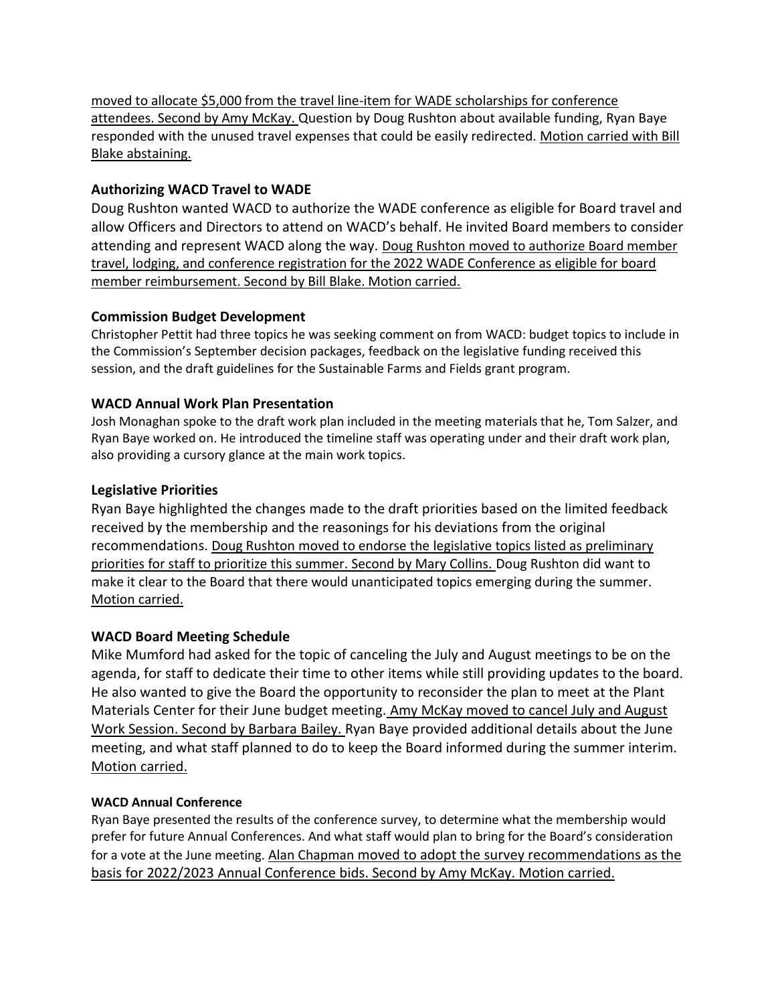moved to allocate \$5,000 from the travel line-item for WADE scholarships for conference attendees. Second by Amy McKay. Question by Doug Rushton about available funding, Ryan Baye responded with the unused travel expenses that could be easily redirected. Motion carried with Bill Blake abstaining.

## **Authorizing WACD Travel to WADE**

Doug Rushton wanted WACD to authorize the WADE conference as eligible for Board travel and allow Officers and Directors to attend on WACD's behalf. He invited Board members to consider attending and represent WACD along the way. Doug Rushton moved to authorize Board member travel, lodging, and conference registration for the 2022 WADE Conference as eligible for board member reimbursement. Second by Bill Blake. Motion carried.

## **Commission Budget Development**

Christopher Pettit had three topics he was seeking comment on from WACD: budget topics to include in the Commission's September decision packages, feedback on the legislative funding received this session, and the draft guidelines for the Sustainable Farms and Fields grant program.

## **WACD Annual Work Plan Presentation**

Josh Monaghan spoke to the draft work plan included in the meeting materials that he, Tom Salzer, and Ryan Baye worked on. He introduced the timeline staff was operating under and their draft work plan, also providing a cursory glance at the main work topics.

## **Legislative Priorities**

Ryan Baye highlighted the changes made to the draft priorities based on the limited feedback received by the membership and the reasonings for his deviations from the original recommendations. Doug Rushton moved to endorse the legislative topics listed as preliminary priorities for staff to prioritize this summer. Second by Mary Collins. Doug Rushton did want to make it clear to the Board that there would unanticipated topics emerging during the summer. Motion carried.

# **WACD Board Meeting Schedule**

Mike Mumford had asked for the topic of canceling the July and August meetings to be on the agenda, for staff to dedicate their time to other items while still providing updates to the board. He also wanted to give the Board the opportunity to reconsider the plan to meet at the Plant Materials Center for their June budget meeting. Amy McKay moved to cancel July and August Work Session. Second by Barbara Bailey. Ryan Baye provided additional details about the June meeting, and what staff planned to do to keep the Board informed during the summer interim. Motion carried.

## **WACD Annual Conference**

Ryan Baye presented the results of the conference survey, to determine what the membership would prefer for future Annual Conferences. And what staff would plan to bring for the Board's consideration for a vote at the June meeting. Alan Chapman moved to adopt the survey recommendations as the basis for 2022/2023 Annual Conference bids. Second by Amy McKay. Motion carried.